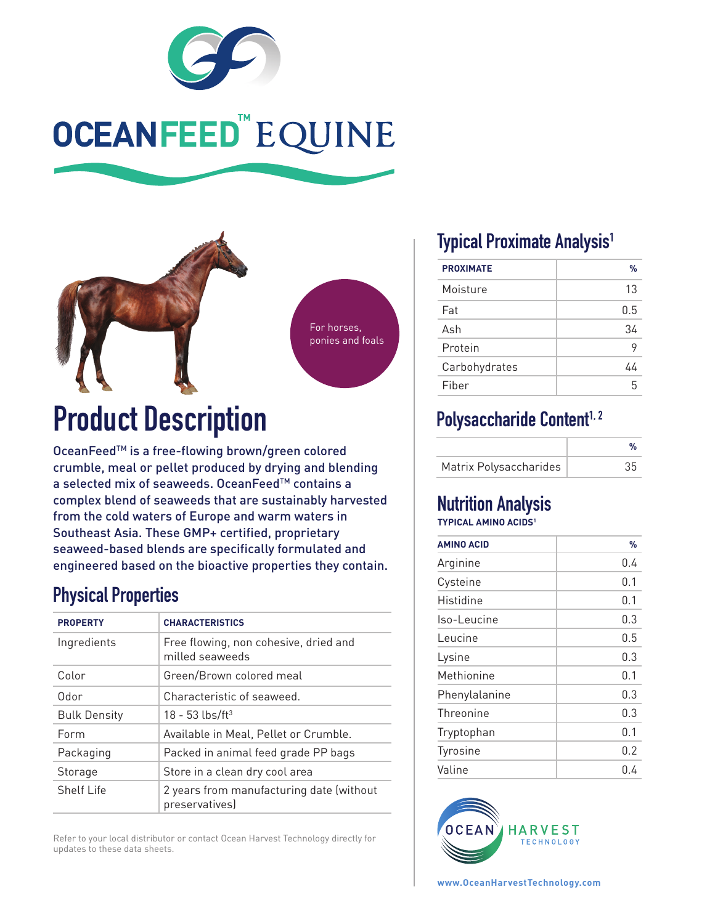

# OCEANFEED" EQUINE



For horses, ponies and foals

## **Product Description**

OceanFeedTM is a free-flowing brown/green colored crumble, meal or pellet produced by drying and blending a selected mix of seaweeds. OceanFeed™ contains a complex blend of seaweeds that are sustainably harvested from the cold waters of Europe and warm waters in Southeast Asia. These GMP+ certified, proprietary seaweed-based blends are specifically formulated and engineered based on the bioactive properties they contain.

### **Physical Properties**

| <b>PROPERTY</b>     | <b>CHARACTERISTICS</b>                                     |
|---------------------|------------------------------------------------------------|
| Ingredients         | Free flowing, non cohesive, dried and<br>milled seaweeds   |
| Color               | Green/Brown colored meal                                   |
| Odor                | Characteristic of seaweed.                                 |
| <b>Bulk Density</b> | $18 - 53$ lbs/ft <sup>3</sup>                              |
| Form                | Available in Meal, Pellet or Crumble.                      |
| Packaging           | Packed in animal feed grade PP bags                        |
| Storage             | Store in a clean dry cool area                             |
| Shelf Life          | 2 years from manufacturing date (without<br>preservatives) |

Refer to your local distributor or contact Ocean Harvest Technology directly for updates to these data sheets.

## **Typical Proximate Analysis1**

| <b>PROXIMATE</b> | %   |
|------------------|-----|
| Moisture         | 13  |
| Fat              | 0.5 |
| Ash              | 34  |
| Protein          | 9   |
| Carbohydrates    | 44  |
| Fiber            | 5   |

## Polysaccharide Content<sup>1, 2</sup>

| Matrix Polysaccharides | 35 |
|------------------------|----|

#### **Nutrition Analysis TYPICAL AMINO ACIDS1**

| <b>AMINO ACID</b> | %   |
|-------------------|-----|
| Arginine          | 0.4 |
| Cysteine          | 0.1 |
| Histidine         | 0.1 |
| Iso-Leucine       | 0.3 |
| Leucine           | 0.5 |
| Lysine            | 0.3 |
| Methionine        | 0.1 |
| Phenylalanine     | 0.3 |
| Threonine         | 0.3 |
| Tryptophan        | 0.1 |
| Tyrosine          | 0.2 |
| Valine            | 0.4 |



**www.OceanHarvestTechnology.com**